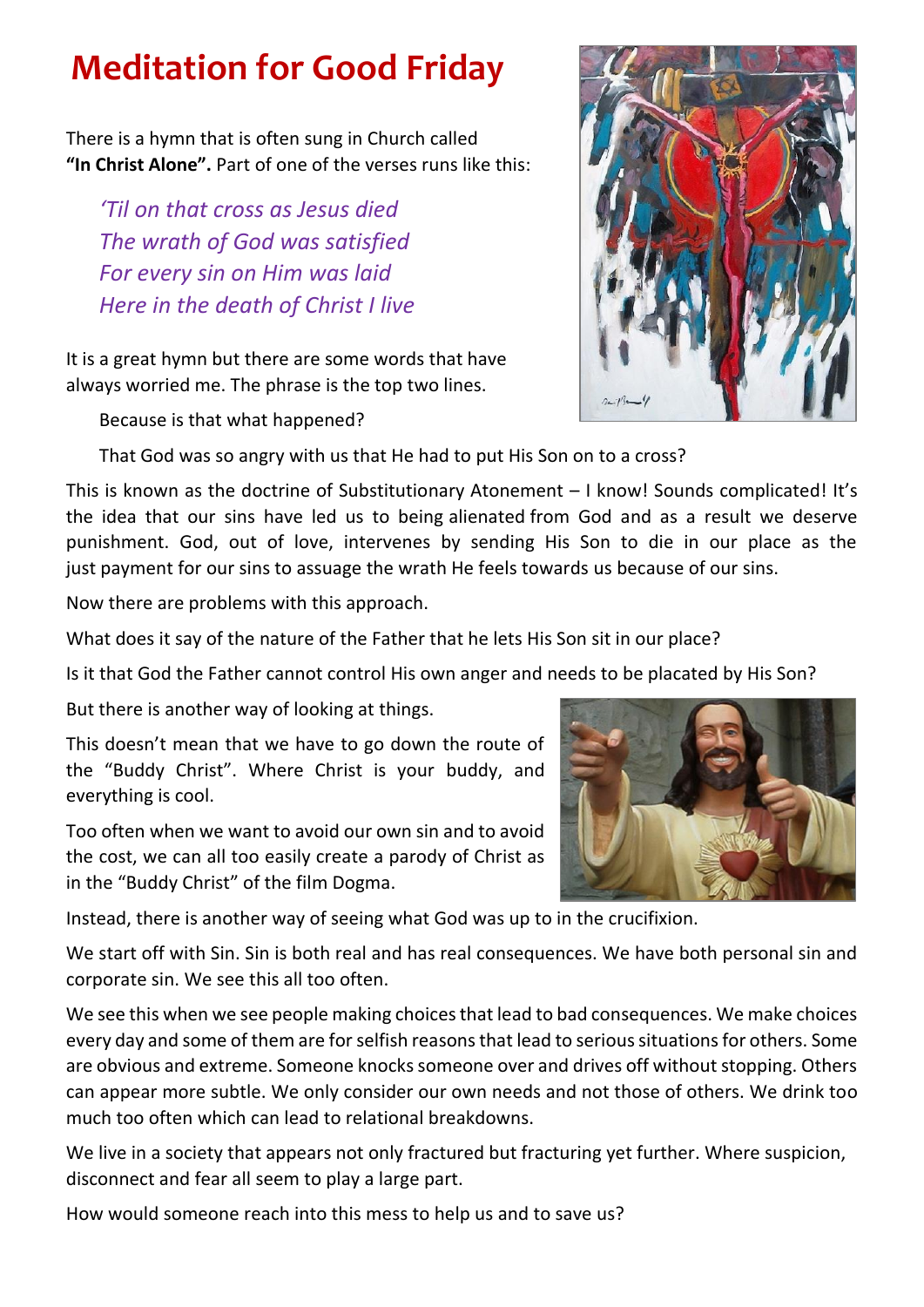## **Meditation for Good Friday**

There is a hymn that is often sung in Church called **"In Christ Alone".** Part of one of the verses runs like this:

*'Til on that cross as Jesus died The wrath of God was satisfied For every sin on Him was laid Here in the death of Christ I live*

It is a great hymn but there are some words that have always worried me. The phrase is the top two lines.

Because is that what happened?

That God was so angry with us that He had to put His Son on to a cross?

This is known as the doctrine of Substitutionary Atonement – I know! Sounds complicated! It's the idea that our sins have led us to being alienated from God and as a result we deserve punishment. God, out of love, intervenes by sending His Son to die in our place as the just payment for our sins to assuage the wrath He feels towards us because of our sins.

Now there are problems with this approach.

What does it say of the nature of the Father that he lets His Son sit in our place?

Is it that God the Father cannot control His own anger and needs to be placated by His Son?

But there is another way of looking at things.

This doesn't mean that we have to go down the route of the "Buddy Christ". Where Christ is your buddy, and everything is cool.

Too often when we want to avoid our own sin and to avoid the cost, we can all too easily create a parody of Christ as in the "Buddy Christ" of the film Dogma.

Instead, there is another way of seeing what God was up to in the crucifixion.

We start off with Sin. Sin is both real and has real consequences. We have both personal sin and corporate sin. We see this all too often.

We see this when we see people making choices that lead to bad consequences. We make choices every day and some of them are for selfish reasons that lead to serious situations for others. Some are obvious and extreme. Someone knocks someone over and drives off without stopping. Others can appear more subtle. We only consider our own needs and not those of others. We drink too much too often which can lead to relational breakdowns.

We live in a society that appears not only fractured but fracturing yet further. Where suspicion, disconnect and fear all seem to play a large part.

How would someone reach into this mess to help us and to save us?